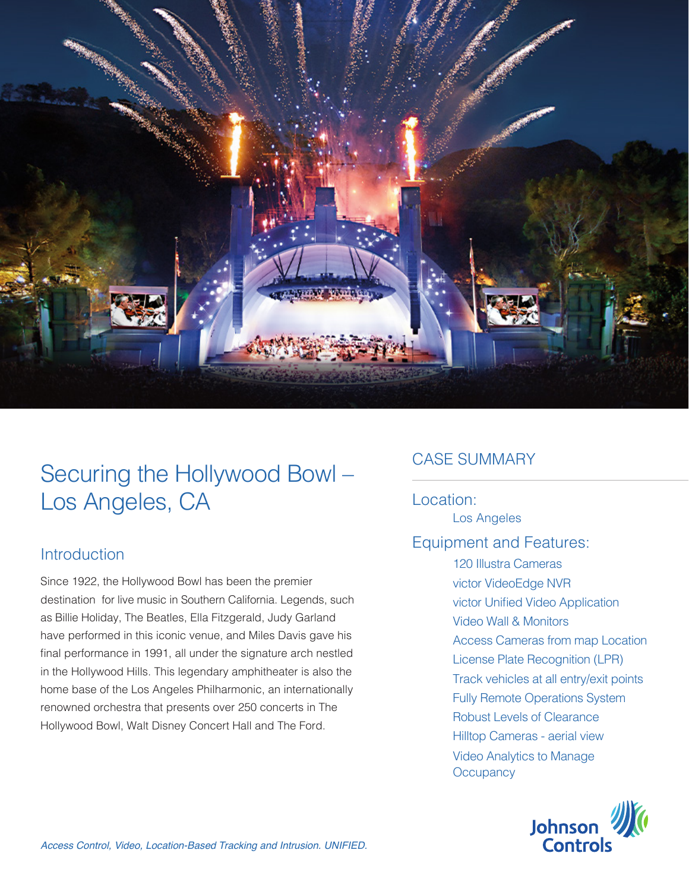

# Securing the Hollywood Bowl – Los Angeles, CA

#### Introduction

Since 1922, the Hollywood Bowl has been the premier destination for live music in Southern California. Legends, such as Billie Holiday, The Beatles, Ella Fitzgerald, Judy Garland have performed in this iconic venue, and Miles Davis gave his final performance in 1991, all under the signature arch nestled in the Hollywood Hills. This legendary amphitheater is also the home base of the Los Angeles Philharmonic, an internationally renowned orchestra that presents over 250 concerts in The Hollywood Bowl, Walt Disney Concert Hall and The Ford.

## CASE SUMMARY

### Location:

Los Angeles

### Equipment and Features:

120 Illustra Cameras victor VideoEdge NVR victor Unified Video Application Video Wall & Monitors Access Cameras from map Location License Plate Recognition (LPR) Track vehicles at all entry/exit points Fully Remote Operations System Robust Levels of Clearance Hilltop Cameras - aerial view Video Analytics to Manage **Occupancy** 

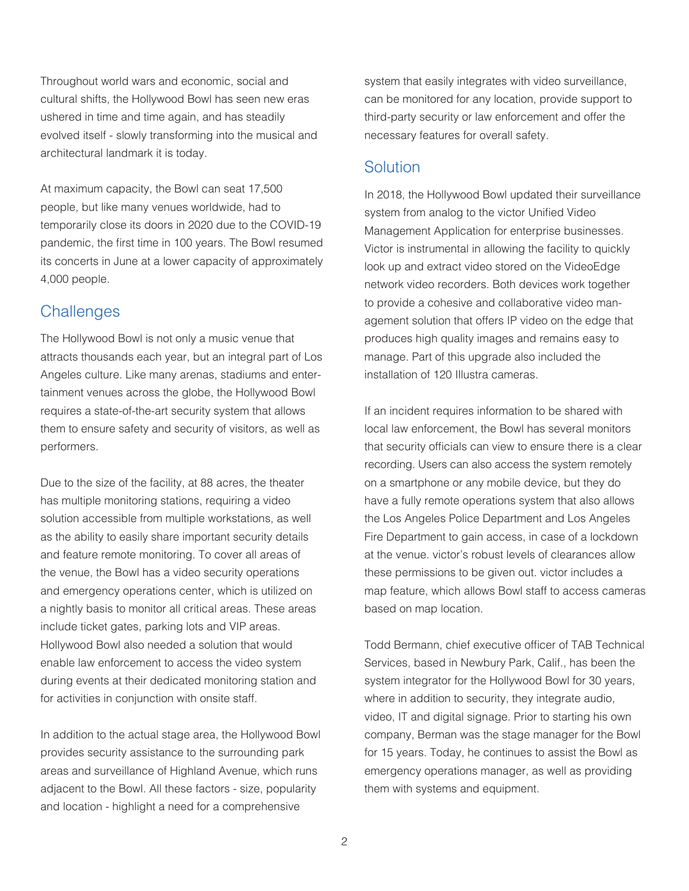Throughout world wars and economic, social and cultural shifts, the Hollywood Bowl has seen new eras ushered in time and time again, and has steadily evolved itself - slowly transforming into the musical and architectural landmark it is today.

At maximum capacity, the Bowl can seat 17,500 people, but like many venues worldwide, had to temporarily close its doors in 2020 due to the COVID-19 pandemic, the first time in 100 years. The Bowl resumed its concerts in June at a lower capacity of approximately 4,000 people.

#### **Challenges**

The Hollywood Bowl is not only a music venue that attracts thousands each year, but an integral part of Los Angeles culture. Like many arenas, stadiums and entertainment venues across the globe, the Hollywood Bowl requires a state-of-the-art security system that allows them to ensure safety and security of visitors, as well as performers.

Due to the size of the facility, at 88 acres, the theater has multiple monitoring stations, requiring a video solution accessible from multiple workstations, as well as the ability to easily share important security details and feature remote monitoring. To cover all areas of the venue, the Bowl has a video security operations and emergency operations center, which is utilized on a nightly basis to monitor all critical areas. These areas include ticket gates, parking lots and VIP areas. Hollywood Bowl also needed a solution that would enable law enforcement to access the video system during events at their dedicated monitoring station and for activities in conjunction with onsite staff.

In addition to the actual stage area, the Hollywood Bowl provides security assistance to the surrounding park areas and surveillance of Highland Avenue, which runs adjacent to the Bowl. All these factors - size, popularity and location - highlight a need for a comprehensive

system that easily integrates with video surveillance, can be monitored for any location, provide support to third-party security or law enforcement and offer the necessary features for overall safety.

#### **Solution**

In 2018, the Hollywood Bowl updated their surveillance system from analog to the victor Unified Video Management Application for enterprise businesses. Victor is instrumental in allowing the facility to quickly look up and extract video stored on the VideoEdge network video recorders. Both devices work together to provide a cohesive and collaborative video management solution that offers IP video on the edge that produces high quality images and remains easy to manage. Part of this upgrade also included the installation of 120 Illustra cameras.

If an incident requires information to be shared with local law enforcement, the Bowl has several monitors that security officials can view to ensure there is a clear recording. Users can also access the system remotely on a smartphone or any mobile device, but they do have a fully remote operations system that also allows the Los Angeles Police Department and Los Angeles Fire Department to gain access, in case of a lockdown at the venue. victor's robust levels of clearances allow these permissions to be given out. victor includes a map feature, which allows Bowl staff to access cameras based on map location.

Todd Bermann, chief executive officer of TAB Technical Services, based in Newbury Park, Calif., has been the system integrator for the Hollywood Bowl for 30 years, where in addition to security, they integrate audio, video, IT and digital signage. Prior to starting his own company, Berman was the stage manager for the Bowl for 15 years. Today, he continues to assist the Bowl as emergency operations manager, as well as providing them with systems and equipment.